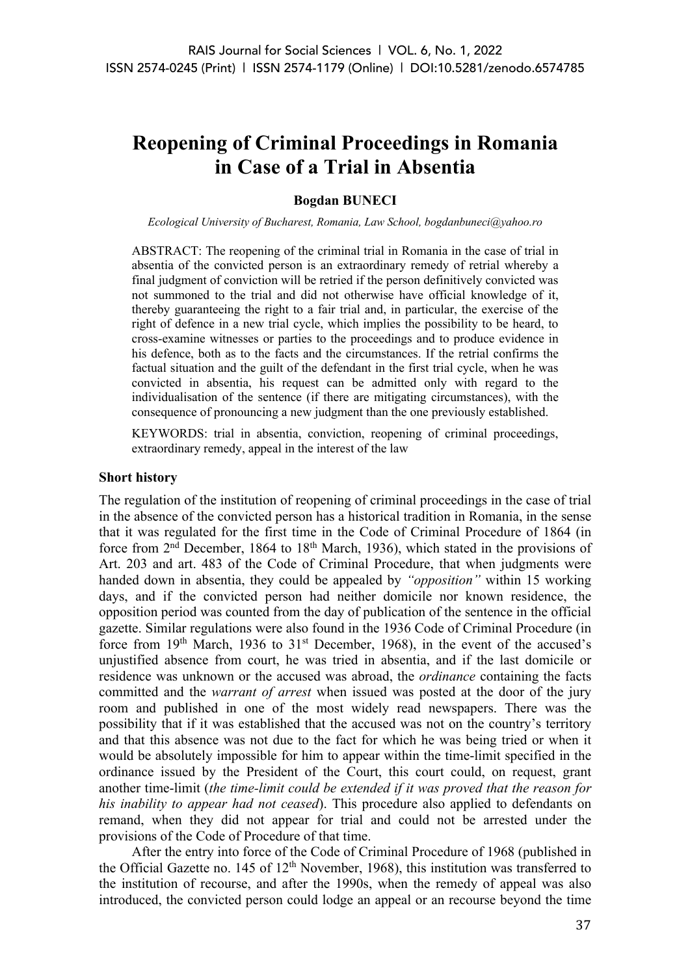# **Reopening of Criminal Proceedings in Romania in Case of a Trial in Absentia**

# **Bogdan BUNECI**

*Ecological University of Bucharest, Romania, Law School, bogdanbuneci@yahoo.ro*

ABSTRACT: The reopening of the criminal trial in Romania in the case of trial in absentia of the convicted person is an extraordinary remedy of retrial whereby a final judgment of conviction will be retried if the person definitively convicted was not summoned to the trial and did not otherwise have official knowledge of it, thereby guaranteeing the right to a fair trial and, in particular, the exercise of the right of defence in a new trial cycle, which implies the possibility to be heard, to cross-examine witnesses or parties to the proceedings and to produce evidence in his defence, both as to the facts and the circumstances. If the retrial confirms the factual situation and the guilt of the defendant in the first trial cycle, when he was convicted in absentia, his request can be admitted only with regard to the individualisation of the sentence (if there are mitigating circumstances), with the consequence of pronouncing a new judgment than the one previously established.

KEYWORDS: trial in absentia, conviction, reopening of criminal proceedings, extraordinary remedy, appeal in the interest of the law

#### **Short history**

The regulation of the institution of reopening of criminal proceedings in the case of trial in the absence of the convicted person has a historical tradition in Romania, in the sense that it was regulated for the first time in the Code of Criminal Procedure of 1864 (in force from 2nd December, 1864 to 18th March, 1936), which stated in the provisions of Art. 203 and art. 483 of the Code of Criminal Procedure, that when judgments were handed down in absentia, they could be appealed by *"opposition"* within 15 working days, and if the convicted person had neither domicile nor known residence, the opposition period was counted from the day of publication of the sentence in the official gazette. Similar regulations were also found in the 1936 Code of Criminal Procedure (in force from  $19<sup>th</sup>$  March,  $1936$  to  $31<sup>st</sup>$  December, 1968), in the event of the accused's unjustified absence from court, he was tried in absentia, and if the last domicile or residence was unknown or the accused was abroad, the *ordinance* containing the facts committed and the *warrant of arrest* when issued was posted at the door of the jury room and published in one of the most widely read newspapers. There was the possibility that if it was established that the accused was not on the country's territory and that this absence was not due to the fact for which he was being tried or when it would be absolutely impossible for him to appear within the time-limit specified in the ordinance issued by the President of the Court, this court could, on request, grant another time-limit (*the time-limit could be extended if it was proved that the reason for his inability to appear had not ceased*). This procedure also applied to defendants on remand, when they did not appear for trial and could not be arrested under the provisions of the Code of Procedure of that time.

After the entry into force of the Code of Criminal Procedure of 1968 (published in the Official Gazette no.  $145$  of  $12<sup>th</sup>$  November, 1968), this institution was transferred to the institution of recourse, and after the 1990s, when the remedy of appeal was also introduced, the convicted person could lodge an appeal or an recourse beyond the time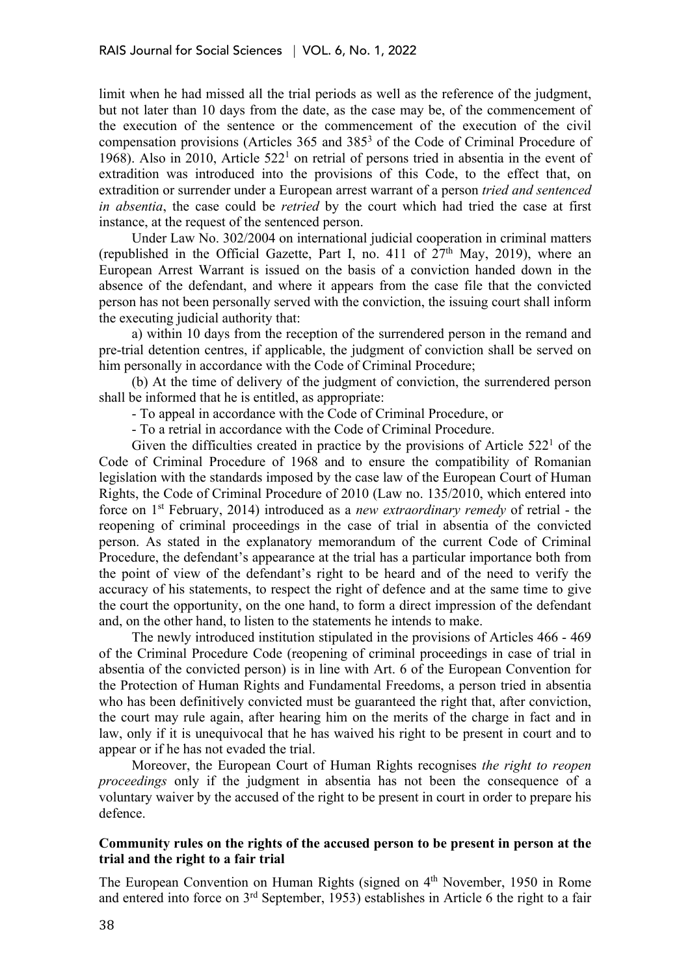limit when he had missed all the trial periods as well as the reference of the judgment, but not later than 10 days from the date, as the case may be, of the commencement of the execution of the sentence or the commencement of the execution of the civil compensation provisions (Articles 365 and 3853 of the Code of Criminal Procedure of 1968). Also in 2010, Article  $522<sup>1</sup>$  on retrial of persons tried in absentia in the event of extradition was introduced into the provisions of this Code, to the effect that, on extradition or surrender under a European arrest warrant of a person *tried and sentenced in absentia*, the case could be *retried* by the court which had tried the case at first instance, at the request of the sentenced person.

Under Law No. 302/2004 on international judicial cooperation in criminal matters (republished in the Official Gazette, Part I, no. 411 of  $27<sup>th</sup>$  May, 2019), where an European Arrest Warrant is issued on the basis of a conviction handed down in the absence of the defendant, and where it appears from the case file that the convicted person has not been personally served with the conviction, the issuing court shall inform the executing judicial authority that:

a) within 10 days from the reception of the surrendered person in the remand and pre-trial detention centres, if applicable, the judgment of conviction shall be served on him personally in accordance with the Code of Criminal Procedure;

(b) At the time of delivery of the judgment of conviction, the surrendered person shall be informed that he is entitled, as appropriate:

- To appeal in accordance with the Code of Criminal Procedure, or

- To a retrial in accordance with the Code of Criminal Procedure.

Given the difficulties created in practice by the provisions of Article  $522<sup>1</sup>$  of the Code of Criminal Procedure of 1968 and to ensure the compatibility of Romanian legislation with the standards imposed by the case law of the European Court of Human Rights, the Code of Criminal Procedure of 2010 (Law no. 135/2010, which entered into force on 1st February, 2014) introduced as a *new extraordinary remedy* of retrial - the reopening of criminal proceedings in the case of trial in absentia of the convicted person. As stated in the explanatory memorandum of the current Code of Criminal Procedure, the defendant's appearance at the trial has a particular importance both from the point of view of the defendant's right to be heard and of the need to verify the accuracy of his statements, to respect the right of defence and at the same time to give the court the opportunity, on the one hand, to form a direct impression of the defendant and, on the other hand, to listen to the statements he intends to make.

The newly introduced institution stipulated in the provisions of Articles 466 - 469 of the Criminal Procedure Code (reopening of criminal proceedings in case of trial in absentia of the convicted person) is in line with Art. 6 of the European Convention for the Protection of Human Rights and Fundamental Freedoms, a person tried in absentia who has been definitively convicted must be guaranteed the right that, after conviction, the court may rule again, after hearing him on the merits of the charge in fact and in law, only if it is unequivocal that he has waived his right to be present in court and to appear or if he has not evaded the trial.

Moreover, the European Court of Human Rights recognises *the right to reopen proceedings* only if the judgment in absentia has not been the consequence of a voluntary waiver by the accused of the right to be present in court in order to prepare his defence.

# **Community rules on the rights of the accused person to be present in person at the trial and the right to a fair trial**

The European Convention on Human Rights (signed on 4th November, 1950 in Rome and entered into force on 3rd September, 1953) establishes in Article 6 the right to a fair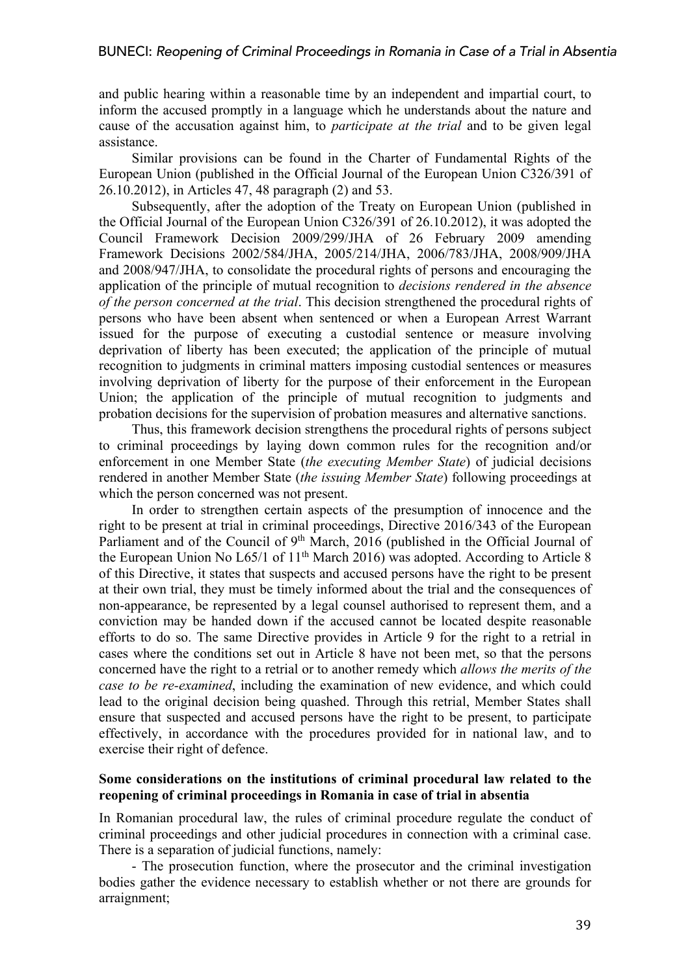and public hearing within a reasonable time by an independent and impartial court, to inform the accused promptly in a language which he understands about the nature and cause of the accusation against him, to *participate at the trial* and to be given legal assistance.

Similar provisions can be found in the Charter of Fundamental Rights of the European Union (published in the Official Journal of the European Union C326/391 of 26.10.2012), in Articles 47, 48 paragraph (2) and 53.

Subsequently, after the adoption of the Treaty on European Union (published in the Official Journal of the European Union C326/391 of 26.10.2012), it was adopted the Council Framework Decision 2009/299/JHA of 26 February 2009 amending Framework Decisions 2002/584/JHA, 2005/214/JHA, 2006/783/JHA, 2008/909/JHA and 2008/947/JHA, to consolidate the procedural rights of persons and encouraging the application of the principle of mutual recognition to *decisions rendered in the absence of the person concerned at the trial*. This decision strengthened the procedural rights of persons who have been absent when sentenced or when a European Arrest Warrant issued for the purpose of executing a custodial sentence or measure involving deprivation of liberty has been executed; the application of the principle of mutual recognition to judgments in criminal matters imposing custodial sentences or measures involving deprivation of liberty for the purpose of their enforcement in the European Union; the application of the principle of mutual recognition to judgments and probation decisions for the supervision of probation measures and alternative sanctions.

Thus, this framework decision strengthens the procedural rights of persons subject to criminal proceedings by laying down common rules for the recognition and/or enforcement in one Member State (*the executing Member State*) of judicial decisions rendered in another Member State (*the issuing Member State*) following proceedings at which the person concerned was not present.

In order to strengthen certain aspects of the presumption of innocence and the right to be present at trial in criminal proceedings, Directive 2016/343 of the European Parliament and of the Council of 9<sup>th</sup> March, 2016 (published in the Official Journal of the European Union No  $L65/1$  of  $11<sup>th</sup>$  March 2016) was adopted. According to Article 8 of this Directive, it states that suspects and accused persons have the right to be present at their own trial, they must be timely informed about the trial and the consequences of non-appearance, be represented by a legal counsel authorised to represent them, and a conviction may be handed down if the accused cannot be located despite reasonable efforts to do so. The same Directive provides in Article 9 for the right to a retrial in cases where the conditions set out in Article 8 have not been met, so that the persons concerned have the right to a retrial or to another remedy which *allows the merits of the case to be re-examined*, including the examination of new evidence, and which could lead to the original decision being quashed. Through this retrial, Member States shall ensure that suspected and accused persons have the right to be present, to participate effectively, in accordance with the procedures provided for in national law, and to exercise their right of defence.

# **Some considerations on the institutions of criminal procedural law related to the reopening of criminal proceedings in Romania in case of trial in absentia**

In Romanian procedural law, the rules of criminal procedure regulate the conduct of criminal proceedings and other judicial procedures in connection with a criminal case. There is a separation of judicial functions, namely:

- The prosecution function, where the prosecutor and the criminal investigation bodies gather the evidence necessary to establish whether or not there are grounds for arraignment;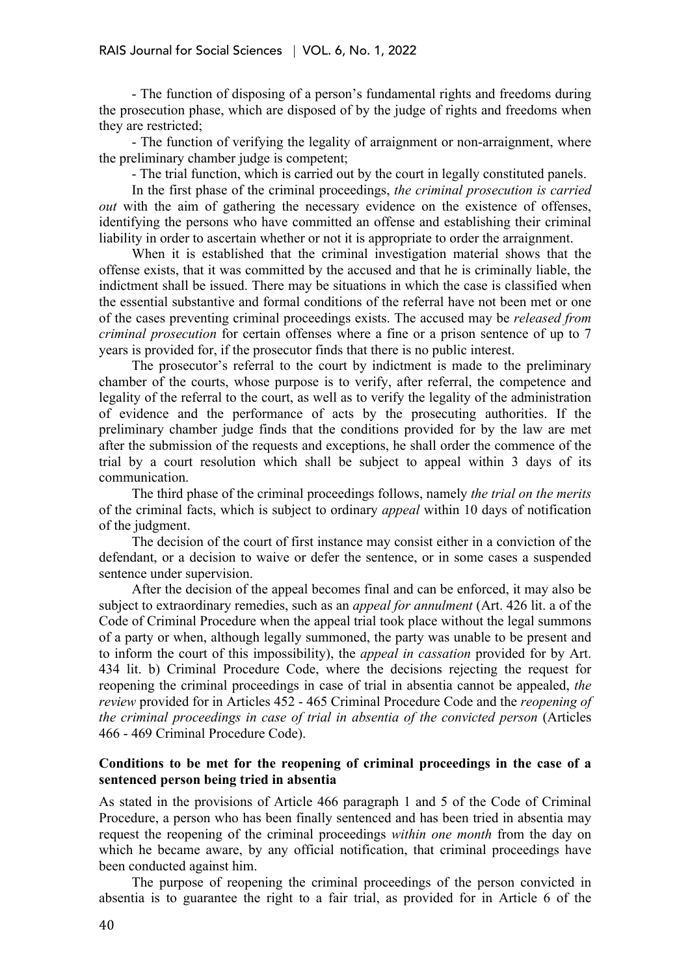- The function of disposing of a person's fundamental rights and freedoms during the prosecution phase, which are disposed of by the judge of rights and freedoms when they are restricted;

- The function of verifying the legality of arraignment or non-arraignment, where the preliminary chamber judge is competent;

- The trial function, which is carried out by the court in legally constituted panels.

In the first phase of the criminal proceedings, *the criminal prosecution is carried out* with the aim of gathering the necessary evidence on the existence of offenses, identifying the persons who have committed an offense and establishing their criminal liability in order to ascertain whether or not it is appropriate to order the arraignment.

When it is established that the criminal investigation material shows that the offense exists, that it was committed by the accused and that he is criminally liable, the indictment shall be issued. There may be situations in which the case is classified when the essential substantive and formal conditions of the referral have not been met or one of the cases preventing criminal proceedings exists. The accused may be *released from criminal prosecution* for certain offenses where a fine or a prison sentence of up to 7 years is provided for, if the prosecutor finds that there is no public interest.

The prosecutor's referral to the court by indictment is made to the preliminary chamber of the courts, whose purpose is to verify, after referral, the competence and legality of the referral to the court, as well as to verify the legality of the administration of evidence and the performance of acts by the prosecuting authorities. If the preliminary chamber judge finds that the conditions provided for by the law are met after the submission of the requests and exceptions, he shall order the commence of the trial by a court resolution which shall be subject to appeal within 3 days of its communication.

The third phase of the criminal proceedings follows, namely *the trial on the merits* of the criminal facts, which is subject to ordinary *appeal* within 10 days of notification of the judgment.

The decision of the court of first instance may consist either in a conviction of the defendant, or a decision to waive or defer the sentence, or in some cases a suspended sentence under supervision.

After the decision of the appeal becomes final and can be enforced, it may also be subject to extraordinary remedies, such as an *appeal for annulment* (Art. 426 lit. a of the Code of Criminal Procedure when the appeal trial took place without the legal summons of a party or when, although legally summoned, the party was unable to be present and to inform the court of this impossibility), the *appeal in cassation* provided for by Art. 434 lit. b) Criminal Procedure Code, where the decisions rejecting the request for reopening the criminal proceedings in case of trial in absentia cannot be appealed, *the review* provided for in Articles 452 - 465 Criminal Procedure Code and the *reopening of the criminal proceedings in case of trial in absentia of the convicted person* (Articles 466 - 469 Criminal Procedure Code).

## **Conditions to be met for the reopening of criminal proceedings in the case of a sentenced person being tried in absentia**

As stated in the provisions of Article 466 paragraph 1 and 5 of the Code of Criminal Procedure, a person who has been finally sentenced and has been tried in absentia may request the reopening of the criminal proceedings *within one month* from the day on which he became aware, by any official notification, that criminal proceedings have been conducted against him.

The purpose of reopening the criminal proceedings of the person convicted in absentia is to guarantee the right to a fair trial, as provided for in Article 6 of the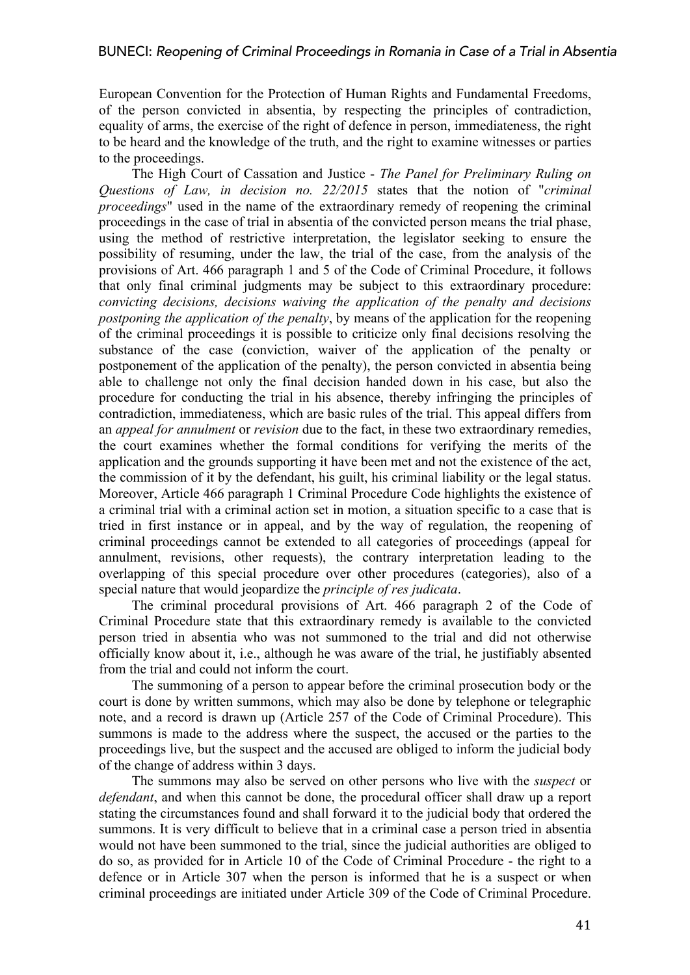European Convention for the Protection of Human Rights and Fundamental Freedoms, of the person convicted in absentia, by respecting the principles of contradiction, equality of arms, the exercise of the right of defence in person, immediateness, the right to be heard and the knowledge of the truth, and the right to examine witnesses or parties to the proceedings.

The High Court of Cassation and Justice - *The Panel for Preliminary Ruling on Questions of Law, in decision no. 22/2015* states that the notion of "*criminal proceedings*" used in the name of the extraordinary remedy of reopening the criminal proceedings in the case of trial in absentia of the convicted person means the trial phase, using the method of restrictive interpretation, the legislator seeking to ensure the possibility of resuming, under the law, the trial of the case, from the analysis of the provisions of Art. 466 paragraph 1 and 5 of the Code of Criminal Procedure, it follows that only final criminal judgments may be subject to this extraordinary procedure: *convicting decisions, decisions waiving the application of the penalty and decisions postponing the application of the penalty*, by means of the application for the reopening of the criminal proceedings it is possible to criticize only final decisions resolving the substance of the case (conviction, waiver of the application of the penalty or postponement of the application of the penalty), the person convicted in absentia being able to challenge not only the final decision handed down in his case, but also the procedure for conducting the trial in his absence, thereby infringing the principles of contradiction, immediateness, which are basic rules of the trial. This appeal differs from an *appeal for annulment* or *revision* due to the fact, in these two extraordinary remedies, the court examines whether the formal conditions for verifying the merits of the application and the grounds supporting it have been met and not the existence of the act, the commission of it by the defendant, his guilt, his criminal liability or the legal status. Moreover, Article 466 paragraph 1 Criminal Procedure Code highlights the existence of a criminal trial with a criminal action set in motion, a situation specific to a case that is tried in first instance or in appeal, and by the way of regulation, the reopening of criminal proceedings cannot be extended to all categories of proceedings (appeal for annulment, revisions, other requests), the contrary interpretation leading to the overlapping of this special procedure over other procedures (categories), also of a special nature that would jeopardize the *principle of res judicata*.

The criminal procedural provisions of Art. 466 paragraph 2 of the Code of Criminal Procedure state that this extraordinary remedy is available to the convicted person tried in absentia who was not summoned to the trial and did not otherwise officially know about it, i.e., although he was aware of the trial, he justifiably absented from the trial and could not inform the court.

The summoning of a person to appear before the criminal prosecution body or the court is done by written summons, which may also be done by telephone or telegraphic note, and a record is drawn up (Article 257 of the Code of Criminal Procedure). This summons is made to the address where the suspect, the accused or the parties to the proceedings live, but the suspect and the accused are obliged to inform the judicial body of the change of address within 3 days.

The summons may also be served on other persons who live with the *suspect* or *defendant*, and when this cannot be done, the procedural officer shall draw up a report stating the circumstances found and shall forward it to the judicial body that ordered the summons. It is very difficult to believe that in a criminal case a person tried in absentia would not have been summoned to the trial, since the judicial authorities are obliged to do so, as provided for in Article 10 of the Code of Criminal Procedure - the right to a defence or in Article 307 when the person is informed that he is a suspect or when criminal proceedings are initiated under Article 309 of the Code of Criminal Procedure.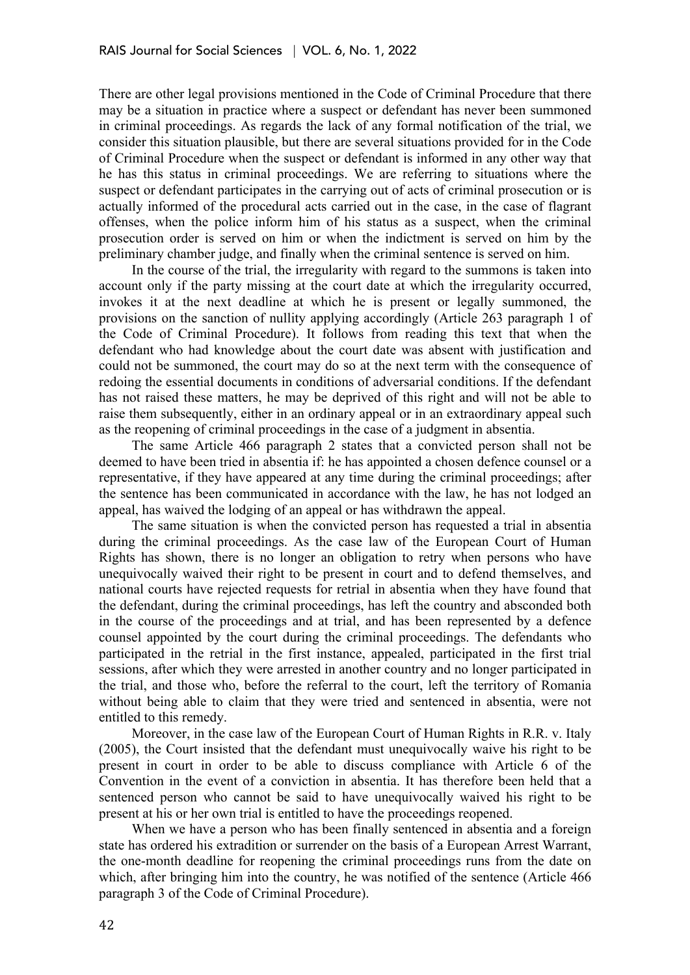There are other legal provisions mentioned in the Code of Criminal Procedure that there may be a situation in practice where a suspect or defendant has never been summoned in criminal proceedings. As regards the lack of any formal notification of the trial, we consider this situation plausible, but there are several situations provided for in the Code of Criminal Procedure when the suspect or defendant is informed in any other way that he has this status in criminal proceedings. We are referring to situations where the suspect or defendant participates in the carrying out of acts of criminal prosecution or is actually informed of the procedural acts carried out in the case, in the case of flagrant offenses, when the police inform him of his status as a suspect, when the criminal prosecution order is served on him or when the indictment is served on him by the preliminary chamber judge, and finally when the criminal sentence is served on him.

In the course of the trial, the irregularity with regard to the summons is taken into account only if the party missing at the court date at which the irregularity occurred, invokes it at the next deadline at which he is present or legally summoned, the provisions on the sanction of nullity applying accordingly (Article 263 paragraph 1 of the Code of Criminal Procedure). It follows from reading this text that when the defendant who had knowledge about the court date was absent with justification and could not be summoned, the court may do so at the next term with the consequence of redoing the essential documents in conditions of adversarial conditions. If the defendant has not raised these matters, he may be deprived of this right and will not be able to raise them subsequently, either in an ordinary appeal or in an extraordinary appeal such as the reopening of criminal proceedings in the case of a judgment in absentia.

The same Article 466 paragraph 2 states that a convicted person shall not be deemed to have been tried in absentia if: he has appointed a chosen defence counsel or a representative, if they have appeared at any time during the criminal proceedings; after the sentence has been communicated in accordance with the law, he has not lodged an appeal, has waived the lodging of an appeal or has withdrawn the appeal.

The same situation is when the convicted person has requested a trial in absentia during the criminal proceedings. As the case law of the European Court of Human Rights has shown, there is no longer an obligation to retry when persons who have unequivocally waived their right to be present in court and to defend themselves, and national courts have rejected requests for retrial in absentia when they have found that the defendant, during the criminal proceedings, has left the country and absconded both in the course of the proceedings and at trial, and has been represented by a defence counsel appointed by the court during the criminal proceedings. The defendants who participated in the retrial in the first instance, appealed, participated in the first trial sessions, after which they were arrested in another country and no longer participated in the trial, and those who, before the referral to the court, left the territory of Romania without being able to claim that they were tried and sentenced in absentia, were not entitled to this remedy.

Moreover, in the case law of the European Court of Human Rights in R.R. v. Italy (2005), the Court insisted that the defendant must unequivocally waive his right to be present in court in order to be able to discuss compliance with Article 6 of the Convention in the event of a conviction in absentia. It has therefore been held that a sentenced person who cannot be said to have unequivocally waived his right to be present at his or her own trial is entitled to have the proceedings reopened.

When we have a person who has been finally sentenced in absentia and a foreign state has ordered his extradition or surrender on the basis of a European Arrest Warrant, the one-month deadline for reopening the criminal proceedings runs from the date on which, after bringing him into the country, he was notified of the sentence (Article 466 paragraph 3 of the Code of Criminal Procedure).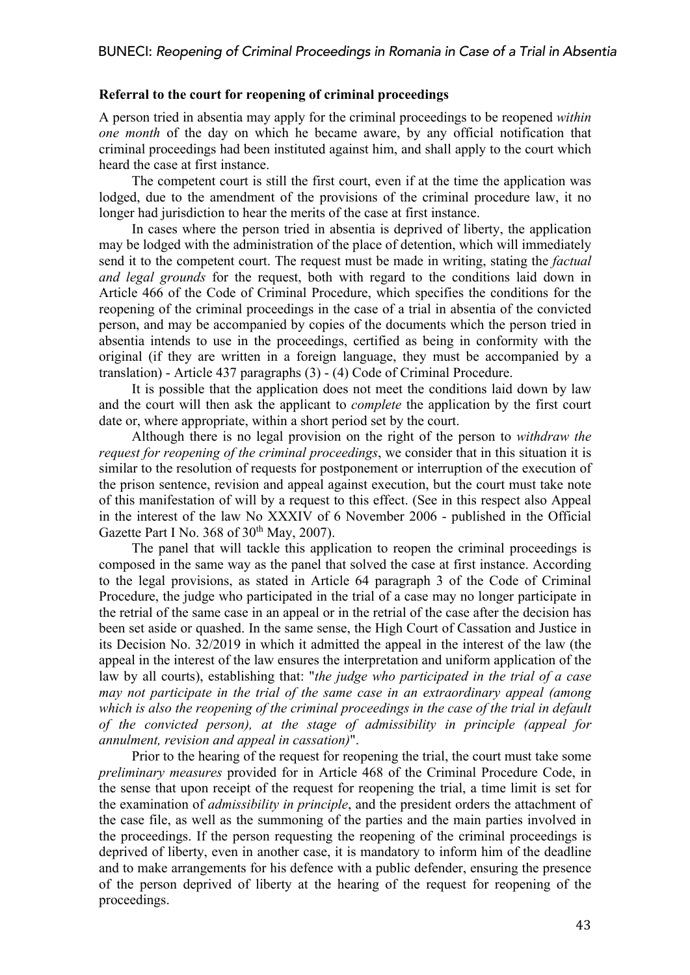# **Referral to the court for reopening of criminal proceedings**

A person tried in absentia may apply for the criminal proceedings to be reopened *within one month* of the day on which he became aware, by any official notification that criminal proceedings had been instituted against him, and shall apply to the court which heard the case at first instance.

The competent court is still the first court, even if at the time the application was lodged, due to the amendment of the provisions of the criminal procedure law, it no longer had jurisdiction to hear the merits of the case at first instance.

In cases where the person tried in absentia is deprived of liberty, the application may be lodged with the administration of the place of detention, which will immediately send it to the competent court. The request must be made in writing, stating the *factual and legal grounds* for the request, both with regard to the conditions laid down in Article 466 of the Code of Criminal Procedure, which specifies the conditions for the reopening of the criminal proceedings in the case of a trial in absentia of the convicted person, and may be accompanied by copies of the documents which the person tried in absentia intends to use in the proceedings, certified as being in conformity with the original (if they are written in a foreign language, they must be accompanied by a translation) - Article 437 paragraphs (3) - (4) Code of Criminal Procedure.

It is possible that the application does not meet the conditions laid down by law and the court will then ask the applicant to *complete* the application by the first court date or, where appropriate, within a short period set by the court.

Although there is no legal provision on the right of the person to *withdraw the request for reopening of the criminal proceedings*, we consider that in this situation it is similar to the resolution of requests for postponement or interruption of the execution of the prison sentence, revision and appeal against execution, but the court must take note of this manifestation of will by a request to this effect. (See in this respect also Appeal in the interest of the law No XXXIV of 6 November 2006 - published in the Official Gazette Part I No. 368 of  $30<sup>th</sup>$  May, 2007).

The panel that will tackle this application to reopen the criminal proceedings is composed in the same way as the panel that solved the case at first instance. According to the legal provisions, as stated in Article 64 paragraph 3 of the Code of Criminal Procedure, the judge who participated in the trial of a case may no longer participate in the retrial of the same case in an appeal or in the retrial of the case after the decision has been set aside or quashed. In the same sense, the High Court of Cassation and Justice in its Decision No. 32/2019 in which it admitted the appeal in the interest of the law (the appeal in the interest of the law ensures the interpretation and uniform application of the law by all courts), establishing that: "*the judge who participated in the trial of a case may not participate in the trial of the same case in an extraordinary appeal (among*  which is also the reopening of the criminal proceedings in the case of the trial in default *of the convicted person), at the stage of admissibility in principle (appeal for annulment, revision and appeal in cassation)*".

Prior to the hearing of the request for reopening the trial, the court must take some *preliminary measures* provided for in Article 468 of the Criminal Procedure Code, in the sense that upon receipt of the request for reopening the trial, a time limit is set for the examination of *admissibility in principle*, and the president orders the attachment of the case file, as well as the summoning of the parties and the main parties involved in the proceedings. If the person requesting the reopening of the criminal proceedings is deprived of liberty, even in another case, it is mandatory to inform him of the deadline and to make arrangements for his defence with a public defender, ensuring the presence of the person deprived of liberty at the hearing of the request for reopening of the proceedings.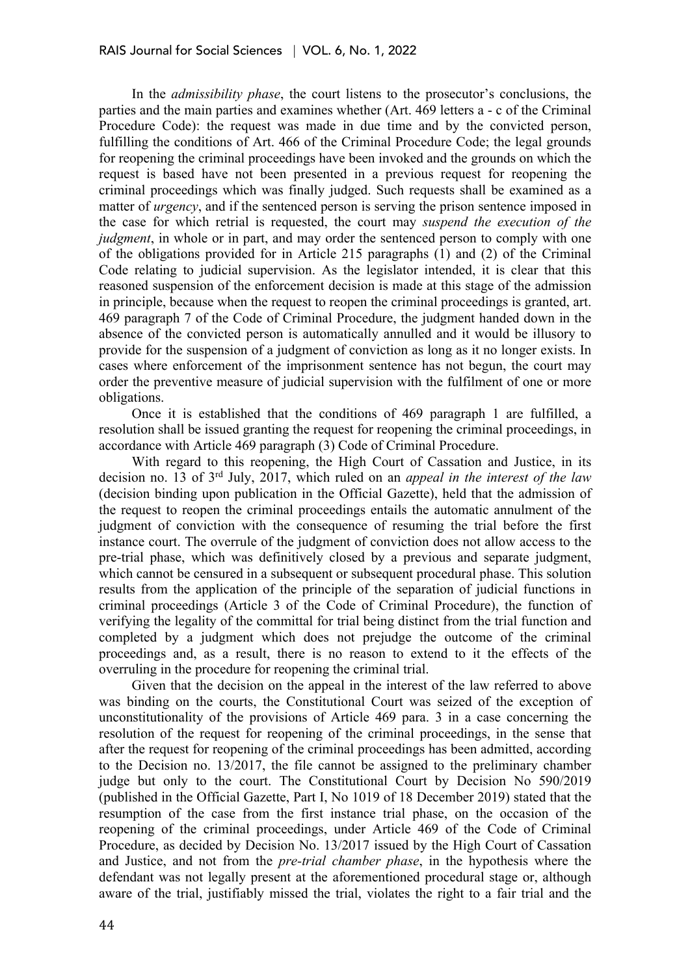In the *admissibility phase*, the court listens to the prosecutor's conclusions, the parties and the main parties and examines whether (Art. 469 letters a - c of the Criminal Procedure Code): the request was made in due time and by the convicted person, fulfilling the conditions of Art. 466 of the Criminal Procedure Code; the legal grounds for reopening the criminal proceedings have been invoked and the grounds on which the request is based have not been presented in a previous request for reopening the criminal proceedings which was finally judged. Such requests shall be examined as a matter of *urgency*, and if the sentenced person is serving the prison sentence imposed in the case for which retrial is requested, the court may *suspend the execution of the judgment*, in whole or in part, and may order the sentenced person to comply with one of the obligations provided for in Article 215 paragraphs (1) and (2) of the Criminal Code relating to judicial supervision. As the legislator intended, it is clear that this reasoned suspension of the enforcement decision is made at this stage of the admission in principle, because when the request to reopen the criminal proceedings is granted, art. 469 paragraph 7 of the Code of Criminal Procedure, the judgment handed down in the absence of the convicted person is automatically annulled and it would be illusory to provide for the suspension of a judgment of conviction as long as it no longer exists. In cases where enforcement of the imprisonment sentence has not begun, the court may order the preventive measure of judicial supervision with the fulfilment of one or more obligations.

Once it is established that the conditions of 469 paragraph 1 are fulfilled, a resolution shall be issued granting the request for reopening the criminal proceedings, in accordance with Article 469 paragraph (3) Code of Criminal Procedure.

With regard to this reopening, the High Court of Cassation and Justice, in its decision no. 13 of 3rd July, 2017, which ruled on an *appeal in the interest of the law* (decision binding upon publication in the Official Gazette), held that the admission of the request to reopen the criminal proceedings entails the automatic annulment of the judgment of conviction with the consequence of resuming the trial before the first instance court. The overrule of the judgment of conviction does not allow access to the pre-trial phase, which was definitively closed by a previous and separate judgment, which cannot be censured in a subsequent or subsequent procedural phase. This solution results from the application of the principle of the separation of judicial functions in criminal proceedings (Article 3 of the Code of Criminal Procedure), the function of verifying the legality of the committal for trial being distinct from the trial function and completed by a judgment which does not prejudge the outcome of the criminal proceedings and, as a result, there is no reason to extend to it the effects of the overruling in the procedure for reopening the criminal trial.

Given that the decision on the appeal in the interest of the law referred to above was binding on the courts, the Constitutional Court was seized of the exception of unconstitutionality of the provisions of Article 469 para. 3 in a case concerning the resolution of the request for reopening of the criminal proceedings, in the sense that after the request for reopening of the criminal proceedings has been admitted, according to the Decision no. 13/2017, the file cannot be assigned to the preliminary chamber judge but only to the court. The Constitutional Court by Decision No 590/2019 (published in the Official Gazette, Part I, No 1019 of 18 December 2019) stated that the resumption of the case from the first instance trial phase, on the occasion of the reopening of the criminal proceedings, under Article 469 of the Code of Criminal Procedure, as decided by Decision No. 13/2017 issued by the High Court of Cassation and Justice, and not from the *pre-trial chamber phase*, in the hypothesis where the defendant was not legally present at the aforementioned procedural stage or, although aware of the trial, justifiably missed the trial, violates the right to a fair trial and the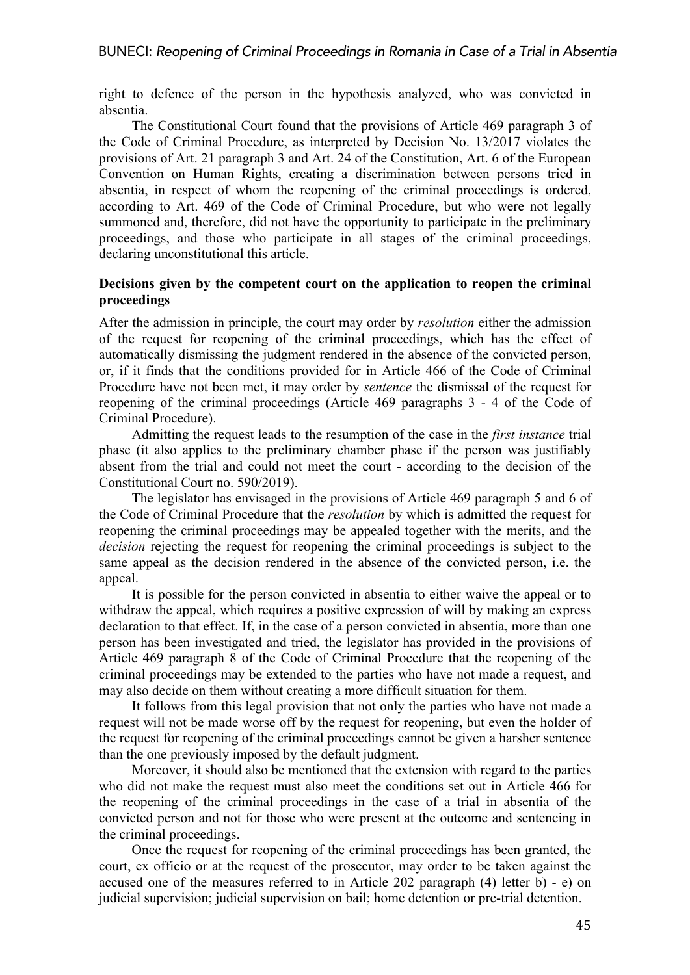right to defence of the person in the hypothesis analyzed, who was convicted in absentia.

The Constitutional Court found that the provisions of Article 469 paragraph 3 of the Code of Criminal Procedure, as interpreted by Decision No. 13/2017 violates the provisions of Art. 21 paragraph 3 and Art. 24 of the Constitution, Art. 6 of the European Convention on Human Rights, creating a discrimination between persons tried in absentia, in respect of whom the reopening of the criminal proceedings is ordered, according to Art. 469 of the Code of Criminal Procedure, but who were not legally summoned and, therefore, did not have the opportunity to participate in the preliminary proceedings, and those who participate in all stages of the criminal proceedings, declaring unconstitutional this article.

# **Decisions given by the competent court on the application to reopen the criminal proceedings**

After the admission in principle, the court may order by *resolution* either the admission of the request for reopening of the criminal proceedings, which has the effect of automatically dismissing the judgment rendered in the absence of the convicted person, or, if it finds that the conditions provided for in Article 466 of the Code of Criminal Procedure have not been met, it may order by *sentence* the dismissal of the request for reopening of the criminal proceedings (Article 469 paragraphs 3 - 4 of the Code of Criminal Procedure).

Admitting the request leads to the resumption of the case in the *first instance* trial phase (it also applies to the preliminary chamber phase if the person was justifiably absent from the trial and could not meet the court - according to the decision of the Constitutional Court no. 590/2019).

The legislator has envisaged in the provisions of Article 469 paragraph 5 and 6 of the Code of Criminal Procedure that the *resolution* by which is admitted the request for reopening the criminal proceedings may be appealed together with the merits, and the *decision* rejecting the request for reopening the criminal proceedings is subject to the same appeal as the decision rendered in the absence of the convicted person, i.e. the appeal.

It is possible for the person convicted in absentia to either waive the appeal or to withdraw the appeal, which requires a positive expression of will by making an express declaration to that effect. If, in the case of a person convicted in absentia, more than one person has been investigated and tried, the legislator has provided in the provisions of Article 469 paragraph 8 of the Code of Criminal Procedure that the reopening of the criminal proceedings may be extended to the parties who have not made a request, and may also decide on them without creating a more difficult situation for them.

It follows from this legal provision that not only the parties who have not made a request will not be made worse off by the request for reopening, but even the holder of the request for reopening of the criminal proceedings cannot be given a harsher sentence than the one previously imposed by the default judgment.

Moreover, it should also be mentioned that the extension with regard to the parties who did not make the request must also meet the conditions set out in Article 466 for the reopening of the criminal proceedings in the case of a trial in absentia of the convicted person and not for those who were present at the outcome and sentencing in the criminal proceedings.

Once the request for reopening of the criminal proceedings has been granted, the court, ex officio or at the request of the prosecutor, may order to be taken against the accused one of the measures referred to in Article 202 paragraph (4) letter b) - e) on judicial supervision; judicial supervision on bail; home detention or pre-trial detention.